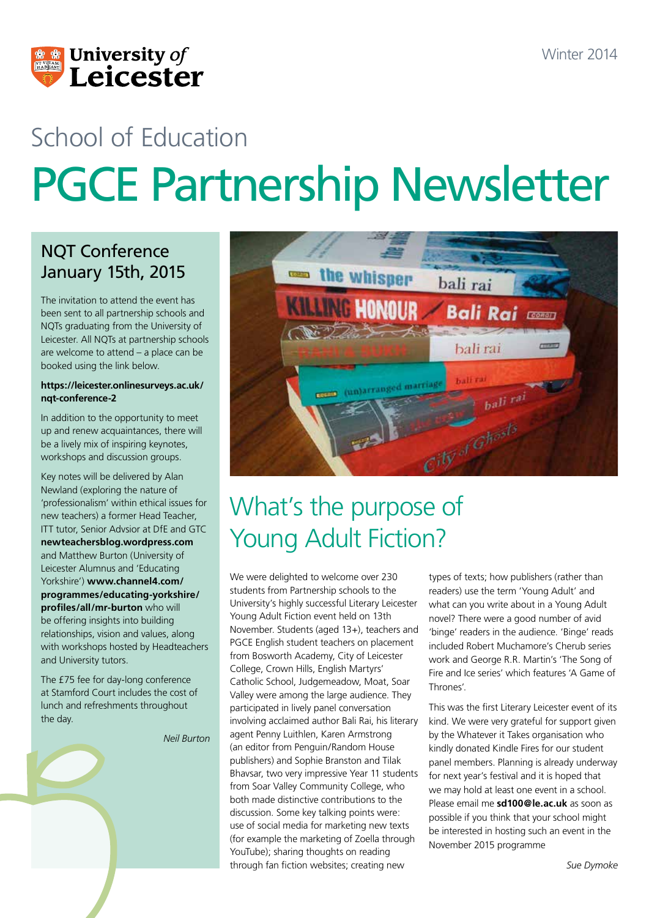

# School of Education PGCE Partnership Newsletter

### NQT Conference January 15th, 2015

The invitation to attend the event has been sent to all partnership schools and NQTs graduating from the University of Leicester. All NQTs at partnership schools are welcome to attend – a place can be booked using the link below.

#### **https://leicester.onlinesurveys.ac.uk/ nqt-conference-2**

In addition to the opportunity to meet up and renew acquaintances, there will be a lively mix of inspiring keynotes, workshops and discussion groups.

Key notes will be delivered by Alan Newland (exploring the nature of 'professionalism' within ethical issues for new teachers) a former Head Teacher, ITT tutor, Senior Advsior at DfE and GTC **newteachersblog.wordpress.com** and Matthew Burton (University of Leicester Alumnus and 'Educating Yorkshire') **www.channel4.com/ programmes/educating-yorkshire/ profiles/all/mr-burton** who will be offering insights into building relationships, vision and values, along with workshops hosted by Headteachers and University tutors.

The £75 fee for day-long conference at Stamford Court includes the cost of lunch and refreshments throughout the day.

*Neil Burton*



# What's the purpose of Young Adult Fiction?

We were delighted to welcome over 230 students from Partnership schools to the University's highly successful Literary Leicester Young Adult Fiction event held on 13th November. Students (aged 13+), teachers and PGCE English student teachers on placement from Bosworth Academy, City of Leicester College, Crown Hills, English Martyrs' Catholic School, Judgemeadow, Moat, Soar Valley were among the large audience. They participated in lively panel conversation involving acclaimed author Bali Rai, his literary agent Penny Luithlen, Karen Armstrong (an editor from Penguin/Random House publishers) and Sophie Branston and Tilak Bhavsar, two very impressive Year 11 students from Soar Valley Community College, who both made distinctive contributions to the discussion. Some key talking points were: use of social media for marketing new texts (for example the marketing of Zoella through YouTube); sharing thoughts on reading through fan fiction websites; creating new

types of texts; how publishers (rather than readers) use the term 'Young Adult' and what can you write about in a Young Adult novel? There were a good number of avid 'binge' readers in the audience. 'Binge' reads included Robert Muchamore's Cherub series work and George R.R. Martin's 'The Song of Fire and Ice series' which features 'A Game of Thrones'.

This was the first Literary Leicester event of its kind. We were very grateful for support given by the Whatever it Takes organisation who kindly donated Kindle Fires for our student panel members. Planning is already underway for next year's festival and it is hoped that we may hold at least one event in a school. Please email me **sd100@le.ac.uk** as soon as possible if you think that your school might be interested in hosting such an event in the November 2015 programme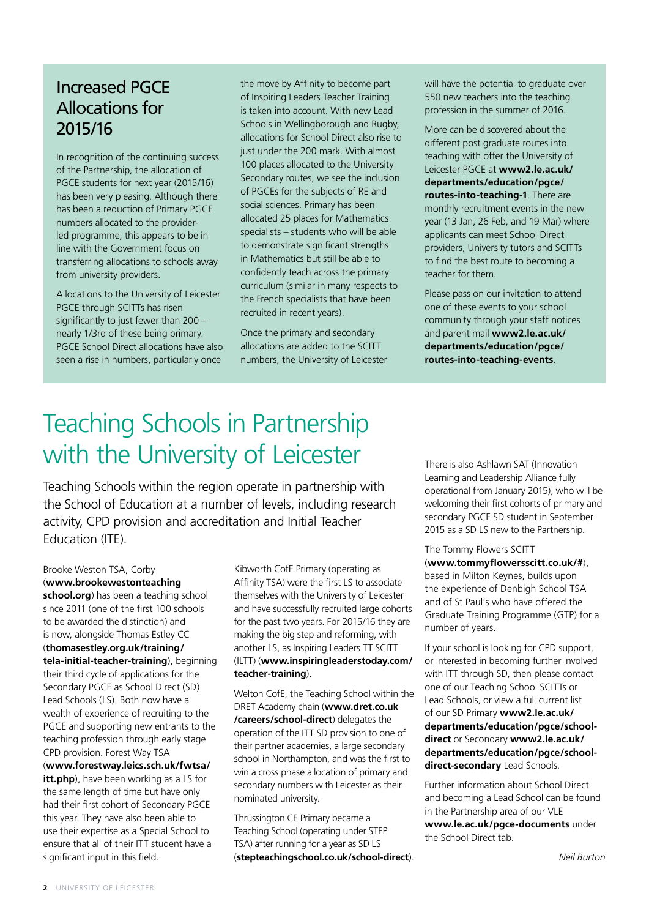### Increased PGCE Allocations for 2015/16

In recognition of the continuing success of the Partnership, the allocation of PGCE students for next year (2015/16) has been very pleasing. Although there has been a reduction of Primary PGCE numbers allocated to the providerled programme, this appears to be in line with the Government focus on transferring allocations to schools away from university providers.

Allocations to the University of Leicester PGCE through SCITTs has risen significantly to just fewer than 200 – nearly 1/3rd of these being primary. PGCE School Direct allocations have also seen a rise in numbers, particularly once

the move by Affinity to become part of Inspiring Leaders Teacher Training is taken into account. With new Lead Schools in Wellingborough and Rugby, allocations for School Direct also rise to just under the 200 mark. With almost 100 places allocated to the University Secondary routes, we see the inclusion of PGCEs for the subjects of RE and social sciences. Primary has been allocated 25 places for Mathematics specialists – students who will be able to demonstrate significant strengths in Mathematics but still be able to confidently teach across the primary curriculum (similar in many respects to the French specialists that have been recruited in recent years).

Once the primary and secondary allocations are added to the SCITT numbers, the University of Leicester will have the potential to graduate over 550 new teachers into the teaching profession in the summer of 2016.

More can be discovered about the different post graduate routes into teaching with offer the University of Leicester PGCE at **www2.le.ac.uk/ departments/education/pgce/ routes-into-teaching-1**. There are monthly recruitment events in the new year (13 Jan, 26 Feb, and 19 Mar) where applicants can meet School Direct providers, University tutors and SCITTs to find the best route to becoming a teacher for them.

Please pass on our invitation to attend one of these events to your school community through your staff notices and parent mail **www2.le.ac.uk/ departments/education/pgce/ routes-into-teaching-events**.

# Teaching Schools in Partnership with the University of Leicester

Teaching Schools within the region operate in partnership with the School of Education at a number of levels, including research activity, CPD provision and accreditation and Initial Teacher Education (ITE).

#### Brooke Weston TSA, Corby (**www.brookewestonteaching**

**school.org**) has been a teaching school since 2011 (one of the first 100 schools to be awarded the distinction) and is now, alongside Thomas Estley CC (**thomasestley.org.uk/training/ tela-initial-teacher-training**), beginning their third cycle of applications for the Secondary PGCE as School Direct (SD) Lead Schools (LS). Both now have a wealth of experience of recruiting to the PGCE and supporting new entrants to the teaching profession through early stage CPD provision. Forest Way TSA (**www.forestway.leics.sch.uk/fwtsa/ itt.php**), have been working as a LS for the same length of time but have only had their first cohort of Secondary PGCE this year. They have also been able to use their expertise as a Special School to ensure that all of their ITT student have a significant input in this field.

Kibworth CofE Primary (operating as Affinity TSA) were the first LS to associate themselves with the University of Leicester and have successfully recruited large cohorts for the past two years. For 2015/16 they are making the big step and reforming, with another LS, as Inspiring Leaders TT SCITT (ILTT) (**www.inspiringleaderstoday.com/ teacher-training**).

Welton CofE, the Teaching School within the DRET Academy chain (**www.dret.co.uk /careers/school-direct**) delegates the operation of the ITT SD provision to one of their partner academies, a large secondary school in Northampton, and was the first to win a cross phase allocation of primary and secondary numbers with Leicester as their nominated university.

Thrussington CE Primary became a Teaching School (operating under STEP TSA) after running for a year as SD LS (**stepteachingschool.co.uk/school-direct**). There is also Ashlawn SAT (Innovation Learning and Leadership Alliance fully operational from January 2015), who will be welcoming their first cohorts of primary and secondary PGCE SD student in September 2015 as a SD LS new to the Partnership.

### The Tommy Flowers SCITT

(**www.tommyflowersscitt.co.uk/#**), based in Milton Keynes, builds upon the experience of Denbigh School TSA and of St Paul's who have offered the Graduate Training Programme (GTP) for a number of years.

If your school is looking for CPD support, or interested in becoming further involved with ITT through SD, then please contact one of our Teaching School SCITTs or Lead Schools, or view a full current list of our SD Primary **www2.le.ac.uk/ departments/education/pgce/schooldirect** or Secondary **www2.le.ac.uk/ departments/education/pgce/schooldirect-secondary** Lead Schools.

Further information about School Direct and becoming a Lead School can be found in the Partnership area of our VLE **www.le.ac.uk/pgce-documents** under the School Direct tab.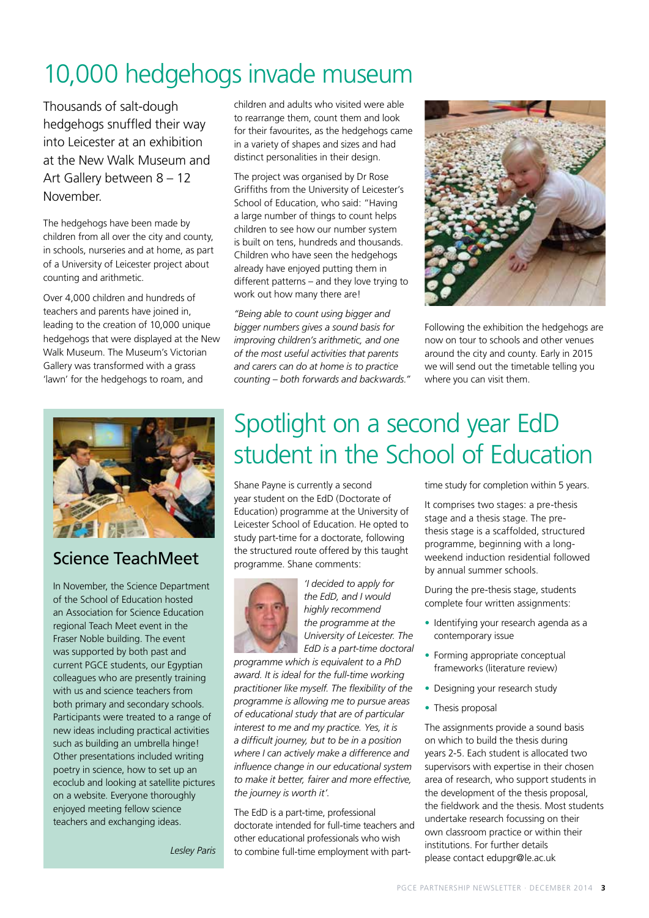# 10,000 hedgehogs invade museum

Thousands of salt-dough hedgehogs snuffled their way into Leicester at an exhibition at the New Walk Museum and Art Gallery between 8 – 12 November.

The hedgehogs have been made by children from all over the city and county, in schools, nurseries and at home, as part of a University of Leicester project about counting and arithmetic.

Over 4,000 children and hundreds of teachers and parents have joined in, leading to the creation of 10,000 unique hedgehogs that were displayed at the New Walk Museum. The Museum's Victorian Gallery was transformed with a grass 'lawn' for the hedgehogs to roam, and



### Science TeachMeet

In November, the Science Department of the School of Education hosted an Association for Science Education regional Teach Meet event in the Fraser Noble building. The event was supported by both past and current PGCE students, our Egyptian colleagues who are presently training with us and science teachers from both primary and secondary schools. Participants were treated to a range of new ideas including practical activities such as building an umbrella hinge! Other presentations included writing poetry in science, how to set up an ecoclub and looking at satellite pictures on a website. Everyone thoroughly enjoyed meeting fellow science teachers and exchanging ideas.

*Lesley Paris*

children and adults who visited were able to rearrange them, count them and look for their favourites, as the hedgehogs came in a variety of shapes and sizes and had distinct personalities in their design.

The project was organised by Dr Rose Griffiths from the University of Leicester's School of Education, who said: "Having a large number of things to count helps children to see how our number system is built on tens, hundreds and thousands. Children who have seen the hedgehogs already have enjoyed putting them in different patterns – and they love trying to work out how many there are!

*"Being able to count using bigger and bigger numbers gives a sound basis for improving children's arithmetic, and one of the most useful activities that parents and carers can do at home is to practice counting – both forwards and backwards."*



Following the exhibition the hedgehogs are now on tour to schools and other venues around the city and county. Early in 2015 we will send out the timetable telling you where you can visit them.

# Spotlight on a second year EdD student in the School of Education

Shane Payne is currently a second year student on the EdD (Doctorate of Education) programme at the University of Leicester School of Education. He opted to study part-time for a doctorate, following the structured route offered by this taught programme. Shane comments:



*'I decided to apply for the EdD, and I would highly recommend the programme at the University of Leicester. The EdD is a part-time doctoral* 

*programme which is equivalent to a PhD award. It is ideal for the full-time working practitioner like myself. The flexibility of the programme is allowing me to pursue areas of educational study that are of particular interest to me and my practice. Yes, it is a difficult journey, but to be in a position where I can actively make a difference and influence change in our educational system to make it better, fairer and more effective, the journey is worth it'.*

The EdD is a part-time, professional doctorate intended for full-time teachers and other educational professionals who wish to combine full-time employment with parttime study for completion within 5 years.

It comprises two stages: a pre-thesis stage and a thesis stage. The prethesis stage is a scaffolded, structured programme, beginning with a longweekend induction residential followed by annual summer schools.

During the pre-thesis stage, students complete four written assignments:

- Identifying your research agenda as a contemporary issue
- Forming appropriate conceptual frameworks (literature review)
- Designing your research study
- Thesis proposal

The assignments provide a sound basis on which to build the thesis during years 2-5. Each student is allocated two supervisors with expertise in their chosen area of research, who support students in the development of the thesis proposal, the fieldwork and the thesis. Most students undertake research focussing on their own classroom practice or within their institutions. For further details please contact edupgr@le.ac.uk